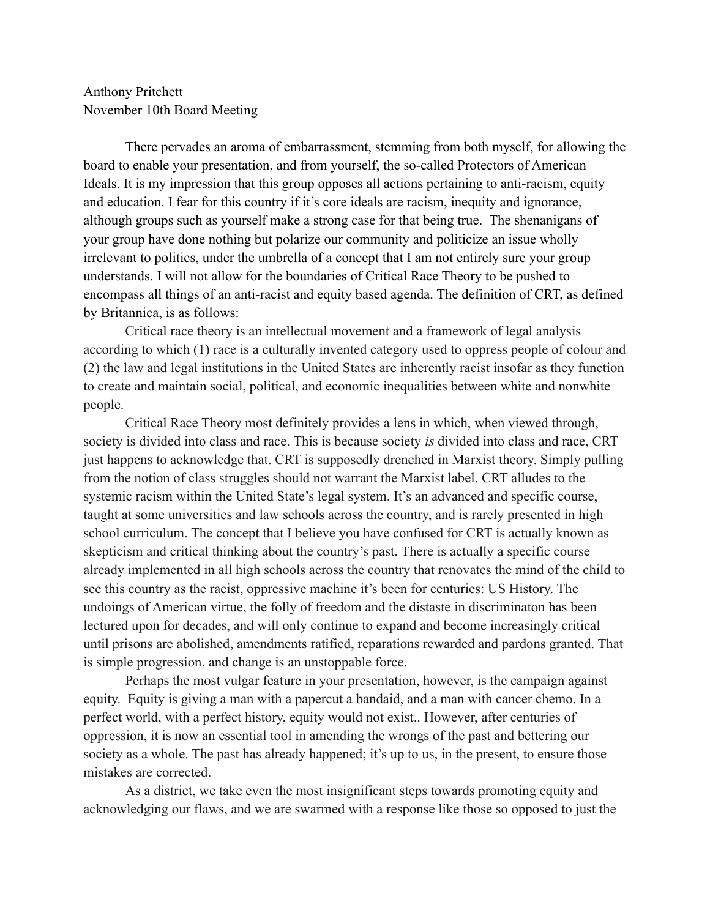## Anthony Pritchett November 10th Board Meeting

There pervades an aroma of embarrassment, stemming from both myself, for allowing the board to enable your presentation, and from yourself, the so-called Protectors of American Ideals. It is my impression that this group opposes all actions pertaining to anti-racism, equity and education. I fear for this country if it's core ideals are racism, inequity and ignorance, although groups such as yourself make a strong case for that being true. The shenanigans of your group have done nothing but polarize our community and politicize an issue wholly irrelevant to politics, under the umbrella of a concept that I am not entirely sure your group understands. I will not allow for the boundaries of Critical Race Theory to be pushed to encompass all things of an anti-racist and equity based agenda. The definition of CRT, as defined by Britannica, is as follows:

Critical race theory is an intellectual movement and a framework of legal analysis according to which (1) race is a culturally invented category used to oppress people of colour and (2) the law and legal institutions in the United States are inherently racist insofar as they function to create and maintain social, political, and economic inequalities between white and nonwhite people.

Critical Race Theory most definitely provides a lens in which, when viewed through, society is divided into class and race. This is because society *is* divided into class and race, CRT just happens to acknowledge that. CRT is supposedly drenched in Marxist theory. Simply pulling from the notion of class struggles should not warrant the Marxist label. CRT alludes to the systemic racism within the United State's legal system. It's an advanced and specific course, taught at some universities and law schools across the country, and is rarely presented in high school curriculum. The concept that I believe you have confused for CRT is actually known as skepticism and critical thinking about the country's past. There is actually a specific course already implemented in all high schools across the country that renovates the mind of the child to see this country as the racist, oppressive machine it's been for centuries: US History. The undoings of American virtue, the folly of freedom and the distaste in discriminaton has been lectured upon for decades, and will only continue to expand and become increasingly critical until prisons are abolished, amendments ratified, reparations rewarded and pardons granted. That is simple progression, and change is an unstoppable force.

Perhaps the most vulgar feature in your presentation, however, is the campaign against equity. Equity is giving a man with a papercut a bandaid, and a man with cancer chemo. In a perfect world, with a perfect history, equity would not exist.. However, after centuries of oppression, it is now an essential tool in amending the wrongs of the past and bettering our society as a whole. The past has already happened; it's up to us, in the present, to ensure those mistakes are corrected.

As a district, we take even the most insignificant steps towards promoting equity and acknowledging our flaws, and we are swarmed with a response like those so opposed to just the